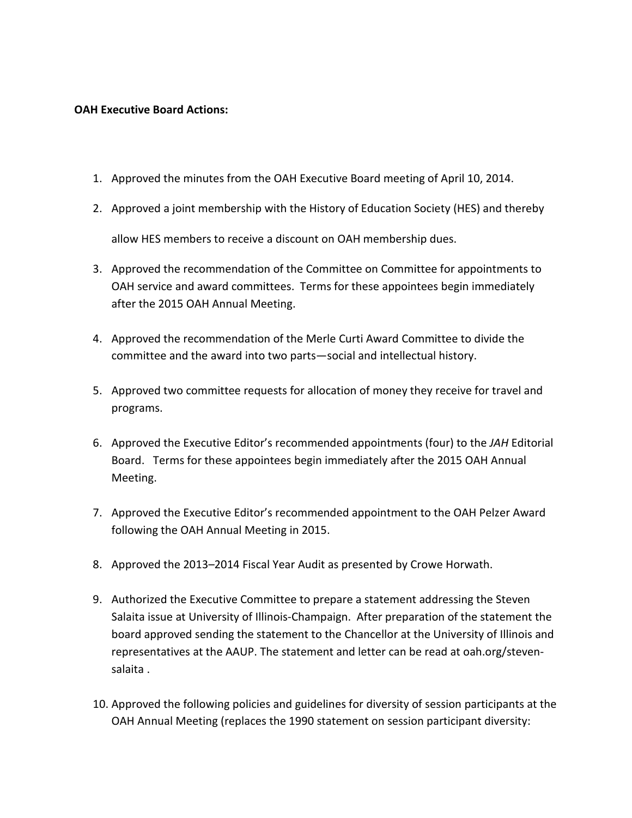### **OAH Executive Board Actions:**

- 1. Approved the minutes from the OAH Executive Board meeting of April 10, 2014.
- 2. Approved a joint membership with the History of Education Society (HES) and thereby allow HES members to receive a discount on OAH membership dues.
- 3. Approved the recommendation of the Committee on Committee for appointments to OAH service and award committees. Terms for these appointees begin immediately after the 2015 OAH Annual Meeting.
- 4. Approved the recommendation of the Merle Curti Award Committee to divide the committee and the award into two parts—social and intellectual history.
- 5. Approved two committee requests for allocation of money they receive for travel and programs.
- 6. Approved the Executive Editor's recommended appointments (four) to the *JAH* Editorial Board. Terms for these appointees begin immediately after the 2015 OAH Annual Meeting.
- 7. Approved the Executive Editor's recommended appointment to the OAH Pelzer Award following the OAH Annual Meeting in 2015.
- 8. Approved the 2013–2014 Fiscal Year Audit as presented by Crowe Horwath.
- 9. Authorized the Executive Committee to prepare a statement addressing the Steven Salaita issue at University of Illinois-Champaign. After preparation of the statement the board approved sending the statement to the Chancellor at the University of Illinois and representatives at the AAUP. The statement and letter can be read at oah.org/stevensalaita .
- 10. Approved the following policies and guidelines for diversity of session participants at the OAH Annual Meeting (replaces the 1990 statement on session participant diversity: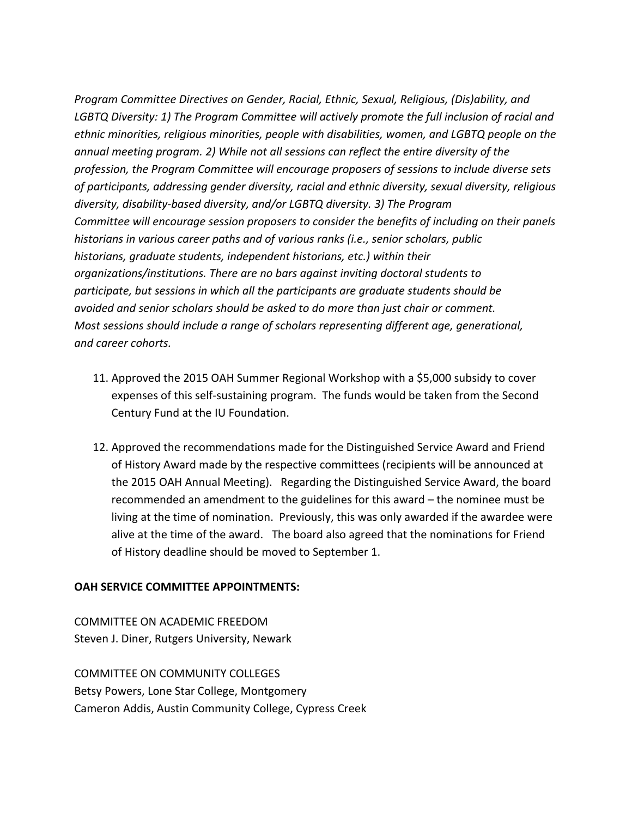*Program Committee Directives on Gender, Racial, Ethnic, Sexual, Religious, (Dis)ability, and LGBTQ Diversity: 1) The Program Committee will actively promote the full inclusion of racial and ethnic minorities, religious minorities, people with disabilities, women, and LGBTQ people on the annual meeting program. 2) While not all sessions can reflect the entire diversity of the profession, the Program Committee will encourage proposers of sessions to include diverse sets of participants, addressing gender diversity, racial and ethnic diversity, sexual diversity, religious diversity, disability-based diversity, and/or LGBTQ diversity. 3) The Program Committee will encourage session proposers to consider the benefits of including on their panels historians in various career paths and of various ranks (i.e., senior scholars, public historians, graduate students, independent historians, etc.) within their organizations/institutions. There are no bars against inviting doctoral students to participate, but sessions in which all the participants are graduate students should be avoided and senior scholars should be asked to do more than just chair or comment. Most sessions should include a range of scholars representing different age, generational, and career cohorts.* 

- 11. Approved the 2015 OAH Summer Regional Workshop with a \$5,000 subsidy to cover expenses of this self-sustaining program. The funds would be taken from the Second Century Fund at the IU Foundation.
- 12. Approved the recommendations made for the Distinguished Service Award and Friend of History Award made by the respective committees (recipients will be announced at the 2015 OAH Annual Meeting). Regarding the Distinguished Service Award, the board recommended an amendment to the guidelines for this award – the nominee must be living at the time of nomination. Previously, this was only awarded if the awardee were alive at the time of the award. The board also agreed that the nominations for Friend of History deadline should be moved to September 1.

#### **OAH SERVICE COMMITTEE APPOINTMENTS:**

COMMITTEE ON ACADEMIC FREEDOM Steven J. Diner, Rutgers University, Newark

COMMITTEE ON COMMUNITY COLLEGES Betsy Powers, Lone Star College, Montgomery Cameron Addis, Austin Community College, Cypress Creek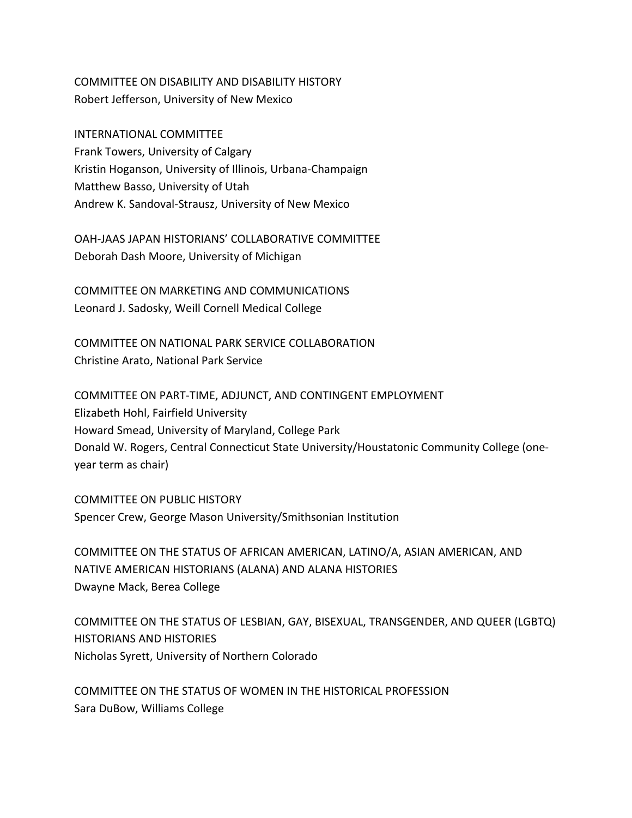# COMMITTEE ON DISABILITY AND DISABILITY HISTORY Robert Jefferson, University of New Mexico

INTERNATIONAL COMMITTEE Frank Towers, University of Calgary Kristin Hoganson, University of Illinois, Urbana-Champaign Matthew Basso, University of Utah Andrew K. Sandoval-Strausz, University of New Mexico

OAH-JAAS JAPAN HISTORIANS' COLLABORATIVE COMMITTEE Deborah Dash Moore, University of Michigan

COMMITTEE ON MARKETING AND COMMUNICATIONS Leonard J. Sadosky, Weill Cornell Medical College

COMMITTEE ON NATIONAL PARK SERVICE COLLABORATION Christine Arato, National Park Service

COMMITTEE ON PART-TIME, ADJUNCT, AND CONTINGENT EMPLOYMENT Elizabeth Hohl, Fairfield University Howard Smead, University of Maryland, College Park Donald W. Rogers, Central Connecticut State University/Houstatonic Community College (oneyear term as chair)

COMMITTEE ON PUBLIC HISTORY Spencer Crew, George Mason University/Smithsonian Institution

COMMITTEE ON THE STATUS OF AFRICAN AMERICAN, LATINO/A, ASIAN AMERICAN, AND NATIVE AMERICAN HISTORIANS (ALANA) AND ALANA HISTORIES Dwayne Mack, Berea College

COMMITTEE ON THE STATUS OF LESBIAN, GAY, BISEXUAL, TRANSGENDER, AND QUEER (LGBTQ) HISTORIANS AND HISTORIES Nicholas Syrett, University of Northern Colorado

COMMITTEE ON THE STATUS OF WOMEN IN THE HISTORICAL PROFESSION Sara DuBow, Williams College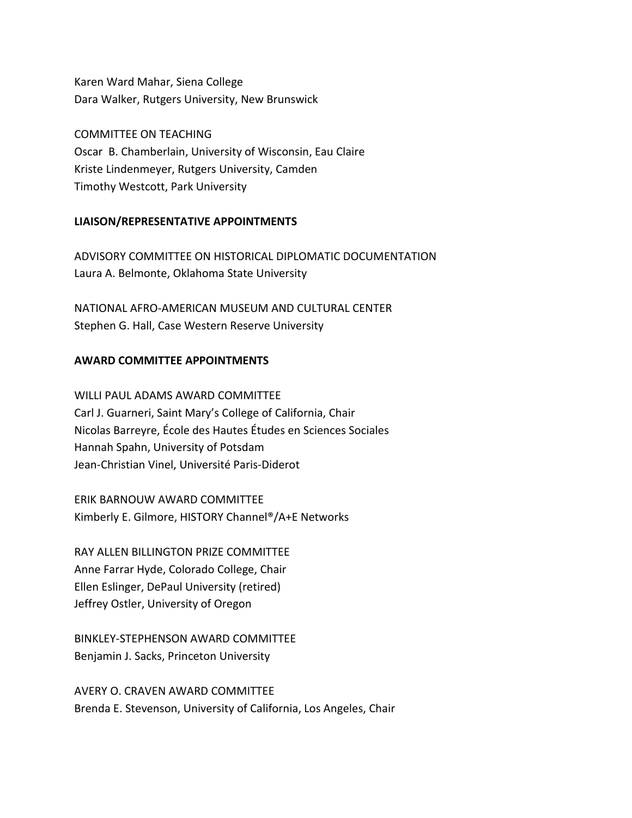Karen Ward Mahar, Siena College Dara Walker, Rutgers University, New Brunswick

COMMITTEE ON TEACHING Oscar B. Chamberlain, University of Wisconsin, Eau Claire Kriste Lindenmeyer, Rutgers University, Camden Timothy Westcott, Park University

## **LIAISON/REPRESENTATIVE APPOINTMENTS**

ADVISORY COMMITTEE ON HISTORICAL DIPLOMATIC DOCUMENTATION Laura A. Belmonte, Oklahoma State University

NATIONAL AFRO-AMERICAN MUSEUM AND CULTURAL CENTER Stephen G. Hall, Case Western Reserve University

## **AWARD COMMITTEE APPOINTMENTS**

WILLI PAUL ADAMS AWARD COMMITTEE Carl J. Guarneri, Saint Mary's College of California, Chair Nicolas Barreyre, École des Hautes Études en Sciences Sociales Hannah Spahn, University of Potsdam Jean-Christian Vinel, Université Paris-Diderot

ERIK BARNOUW AWARD COMMITTEE Kimberly E. Gilmore, HISTORY Channel®/A+E Networks

RAY ALLEN BILLINGTON PRIZE COMMITTEE Anne Farrar Hyde, Colorado College, Chair Ellen Eslinger, DePaul University (retired) Jeffrey Ostler, University of Oregon

BINKLEY-STEPHENSON AWARD COMMITTEE Benjamin J. Sacks, Princeton University

AVERY O. CRAVEN AWARD COMMITTEE Brenda E. Stevenson, University of California, Los Angeles, Chair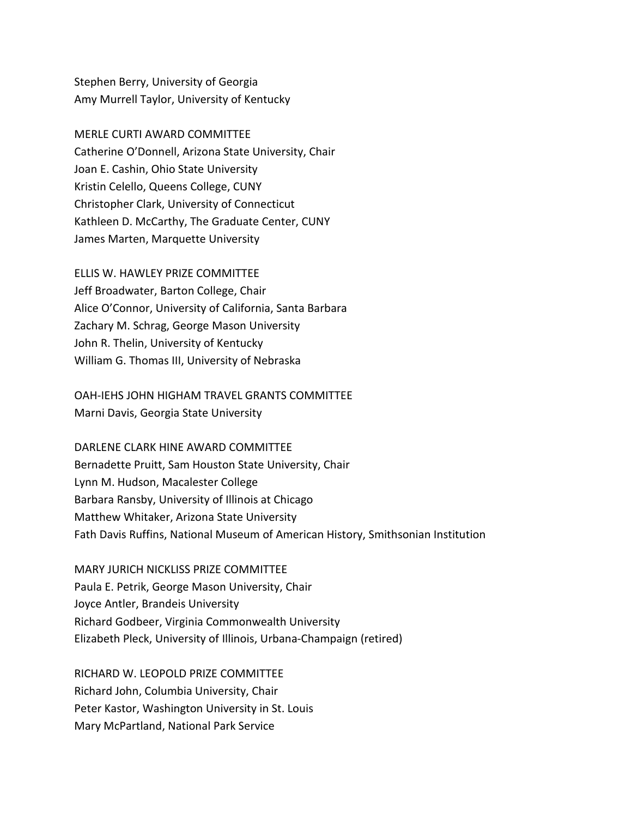Stephen Berry, University of Georgia Amy Murrell Taylor, University of Kentucky

MERLE CURTI AWARD COMMITTEE Catherine O'Donnell, Arizona State University, Chair Joan E. Cashin, Ohio State University Kristin Celello, Queens College, CUNY Christopher Clark, University of Connecticut Kathleen D. McCarthy, The Graduate Center, CUNY James Marten, Marquette University

ELLIS W. HAWLEY PRIZE COMMITTEE Jeff Broadwater, Barton College, Chair Alice O'Connor, University of California, Santa Barbara Zachary M. Schrag, George Mason University John R. Thelin, University of Kentucky William G. Thomas III, University of Nebraska

OAH-IEHS JOHN HIGHAM TRAVEL GRANTS COMMITTEE Marni Davis, Georgia State University

DARLENE CLARK HINE AWARD COMMITTEE Bernadette Pruitt, Sam Houston State University, Chair Lynn M. Hudson, Macalester College Barbara Ransby, University of Illinois at Chicago Matthew Whitaker, Arizona State University Fath Davis Ruffins, National Museum of American History, Smithsonian Institution

MARY JURICH NICKLISS PRIZE COMMITTEE Paula E. Petrik, George Mason University, Chair Joyce Antler, Brandeis University Richard Godbeer, Virginia Commonwealth University Elizabeth Pleck, University of Illinois, Urbana-Champaign (retired)

RICHARD W. LEOPOLD PRIZE COMMITTEE Richard John, Columbia University, Chair Peter Kastor, Washington University in St. Louis Mary McPartland, National Park Service